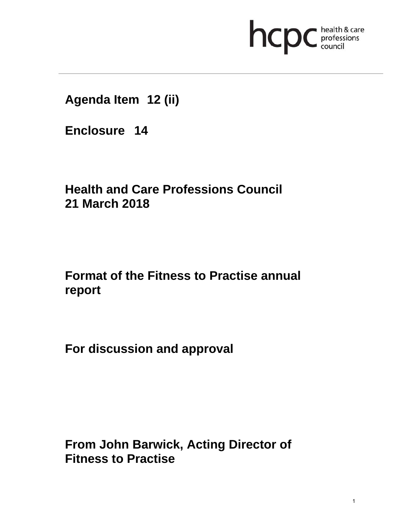

**Agenda Item 12 (ii)** 

**Enclosure 14**

# **Health and Care Professions Council 21 March 2018**

# **Format of the Fitness to Practise annual report**

**For discussion and approval** 

**From John Barwick, Acting Director of Fitness to Practise**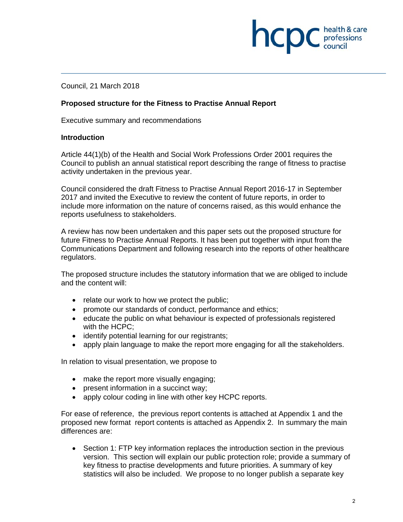# **INCID** C professions

Council, 21 March 2018

# **Proposed structure for the Fitness to Practise Annual Report**

Executive summary and recommendations

#### **Introduction**

Article 44(1)(b) of the Health and Social Work Professions Order 2001 requires the Council to publish an annual statistical report describing the range of fitness to practise activity undertaken in the previous year.

Council considered the draft Fitness to Practise Annual Report 2016-17 in September 2017 and invited the Executive to review the content of future reports, in order to include more information on the nature of concerns raised, as this would enhance the reports usefulness to stakeholders.

A review has now been undertaken and this paper sets out the proposed structure for future Fitness to Practise Annual Reports. It has been put together with input from the Communications Department and following research into the reports of other healthcare regulators.

The proposed structure includes the statutory information that we are obliged to include and the content will:

- relate our work to how we protect the public;
- promote our standards of conduct, performance and ethics;
- educate the public on what behaviour is expected of professionals registered with the HCPC;
- identify potential learning for our registrants;
- apply plain language to make the report more engaging for all the stakeholders.

In relation to visual presentation, we propose to

- make the report more visually engaging;
- present information in a succinct way;
- apply colour coding in line with other key HCPC reports.

For ease of reference, the previous report contents is attached at Appendix 1 and the proposed new format report contents is attached as Appendix 2. In summary the main differences are:

• Section 1: FTP key information replaces the introduction section in the previous version. This section will explain our public protection role; provide a summary of key fitness to practise developments and future priorities. A summary of key statistics will also be included. We propose to no longer publish a separate key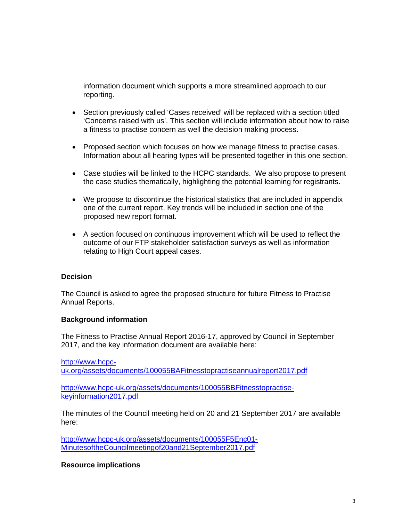information document which supports a more streamlined approach to our reporting.

- Section previously called 'Cases received' will be replaced with a section titled 'Concerns raised with us'. This section will include information about how to raise a fitness to practise concern as well the decision making process.
- Proposed section which focuses on how we manage fitness to practise cases. Information about all hearing types will be presented together in this one section.
- Case studies will be linked to the HCPC standards. We also propose to present the case studies thematically, highlighting the potential learning for registrants.
- We propose to discontinue the historical statistics that are included in appendix one of the current report. Key trends will be included in section one of the proposed new report format.
- A section focused on continuous improvement which will be used to reflect the outcome of our FTP stakeholder satisfaction surveys as well as information relating to High Court appeal cases.

### **Decision**

The Council is asked to agree the proposed structure for future Fitness to Practise Annual Reports.

#### **Background information**

The Fitness to Practise Annual Report 2016-17, approved by Council in September 2017, and the key information document are available here:

http://www.hcpcuk.org/assets/documents/100055BAFitnesstopractiseannualreport2017.pdf

http://www.hcpc-uk.org/assets/documents/100055BBFitnesstopractisekeyinformation2017.pdf

The minutes of the Council meeting held on 20 and 21 September 2017 are available here:

http://www.hcpc-uk.org/assets/documents/100055F5Enc01- MinutesoftheCouncilmeetingof20and21September2017.pdf

#### **Resource implications**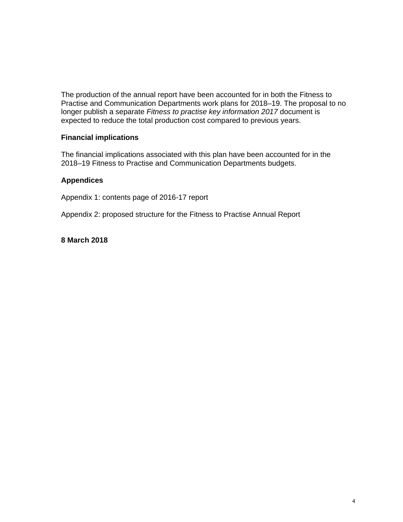The production of the annual report have been accounted for in both the Fitness to Practise and Communication Departments work plans for 2018–19. The proposal to no longer publish a separate *Fitness to practise key information 2017* document is expected to reduce the total production cost compared to previous years.

## **Financial implications**

The financial implications associated with this plan have been accounted for in the 2018–19 Fitness to Practise and Communication Departments budgets.

### **Appendices**

Appendix 1: contents page of 2016-17 report

Appendix 2: proposed structure for the Fitness to Practise Annual Report

# **8 March 2018**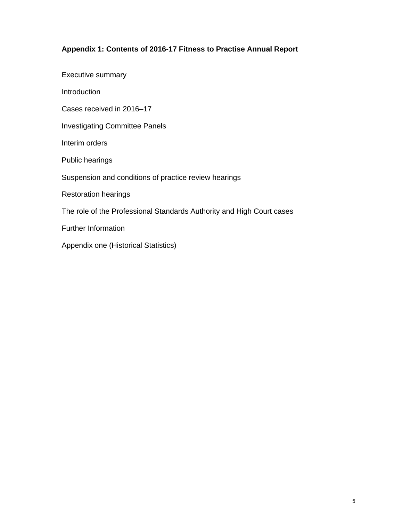# **Appendix 1: Contents of 2016-17 Fitness to Practise Annual Report**

Executive summary

**Introduction** 

Cases received in 2016–17

Investigating Committee Panels

Interim orders

Public hearings

Suspension and conditions of practice review hearings

Restoration hearings

The role of the Professional Standards Authority and High Court cases

Further Information

Appendix one (Historical Statistics)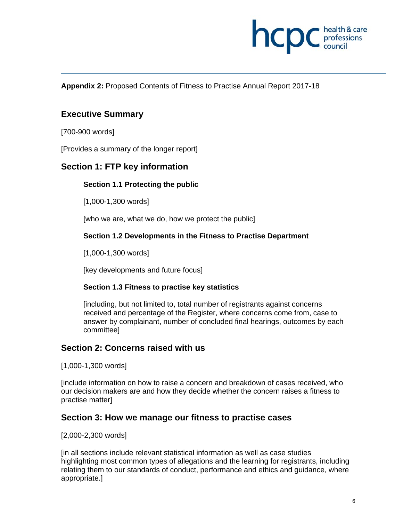

**Appendix 2:** Proposed Contents of Fitness to Practise Annual Report 2017-18

# **Executive Summary**

[700-900 words]

[Provides a summary of the longer report]

# **Section 1: FTP key information**

#### **Section 1.1 Protecting the public**

[1,000-1,300 words]

[who we are, what we do, how we protect the public]

#### **Section 1.2 Developments in the Fitness to Practise Department**

[1,000-1,300 words]

[key developments and future focus]

#### **Section 1.3 Fitness to practise key statistics**

[including, but not limited to, total number of registrants against concerns received and percentage of the Register, where concerns come from, case to answer by complainant, number of concluded final hearings, outcomes by each committee]

## **Section 2: Concerns raised with us**

[1,000-1,300 words]

[include information on how to raise a concern and breakdown of cases received, who our decision makers are and how they decide whether the concern raises a fitness to practise matter]

### **Section 3: How we manage our fitness to practise cases**

[2,000-2,300 words]

[in all sections include relevant statistical information as well as case studies highlighting most common types of allegations and the learning for registrants, including relating them to our standards of conduct, performance and ethics and guidance, where appropriate.]